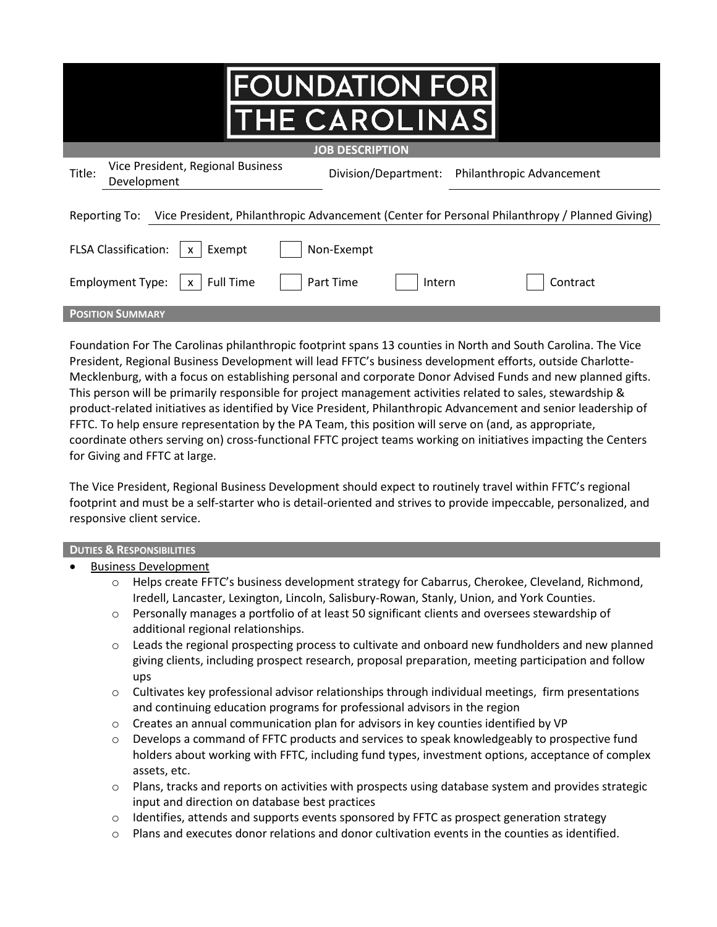| <b>FOUNDATION FOR</b><br><b>THE CAROLINAS</b>                                                                  |  |  |  |
|----------------------------------------------------------------------------------------------------------------|--|--|--|
| <b>JOB DESCRIPTION</b>                                                                                         |  |  |  |
| Vice President, Regional Business<br>Title:<br>Division/Department: Philanthropic Advancement<br>Development   |  |  |  |
| Vice President, Philanthropic Advancement (Center for Personal Philanthropy / Planned Giving)<br>Reporting To: |  |  |  |
| <b>FLSA Classification:</b><br>Non-Exempt<br>Exempt                                                            |  |  |  |
| <b>Full Time</b><br>Part Time<br><b>Employment Type:</b><br>Contract<br>Intern                                 |  |  |  |
| <b>POSITION SUMMARY</b>                                                                                        |  |  |  |

Foundation For The Carolinas philanthropic footprint spans 13 counties in North and South Carolina. The Vice President, Regional Business Development will lead FFTC's business development efforts, outside Charlotte-Mecklenburg, with a focus on establishing personal and corporate Donor Advised Funds and new planned gifts. This person will be primarily responsible for project management activities related to sales, stewardship & product-related initiatives as identified by Vice President, Philanthropic Advancement and senior leadership of FFTC. To help ensure representation by the PA Team, this position will serve on (and, as appropriate, coordinate others serving on) cross-functional FFTC project teams working on initiatives impacting the Centers for Giving and FFTC at large.

The Vice President, Regional Business Development should expect to routinely travel within FFTC's regional footprint and must be a self-starter who is detail-oriented and strives to provide impeccable, personalized, and responsive client service.

## **DUTIES & RESPONSIBILITIES**

- **Business Development** 
	- o Helps create FFTC's business development strategy for Cabarrus, Cherokee, Cleveland, Richmond, Iredell, Lancaster, Lexington, Lincoln, Salisbury-Rowan, Stanly, Union, and York Counties.
	- o Personally manages a portfolio of at least 50 significant clients and oversees stewardship of additional regional relationships.
	- Leads the regional prospecting process to cultivate and onboard new fundholders and new planned giving clients, including prospect research, proposal preparation, meeting participation and follow ups
	- $\circ$  Cultivates key professional advisor relationships through individual meetings, firm presentations and continuing education programs for professional advisors in the region
	- $\circ$  Creates an annual communication plan for advisors in key counties identified by VP
	- o Develops a command of FFTC products and services to speak knowledgeably to prospective fund holders about working with FFTC, including fund types, investment options, acceptance of complex assets, etc.
	- o Plans, tracks and reports on activities with prospects using database system and provides strategic input and direction on database best practices
	- $\circ$  Identifies, attends and supports events sponsored by FFTC as prospect generation strategy
	- $\circ$  Plans and executes donor relations and donor cultivation events in the counties as identified.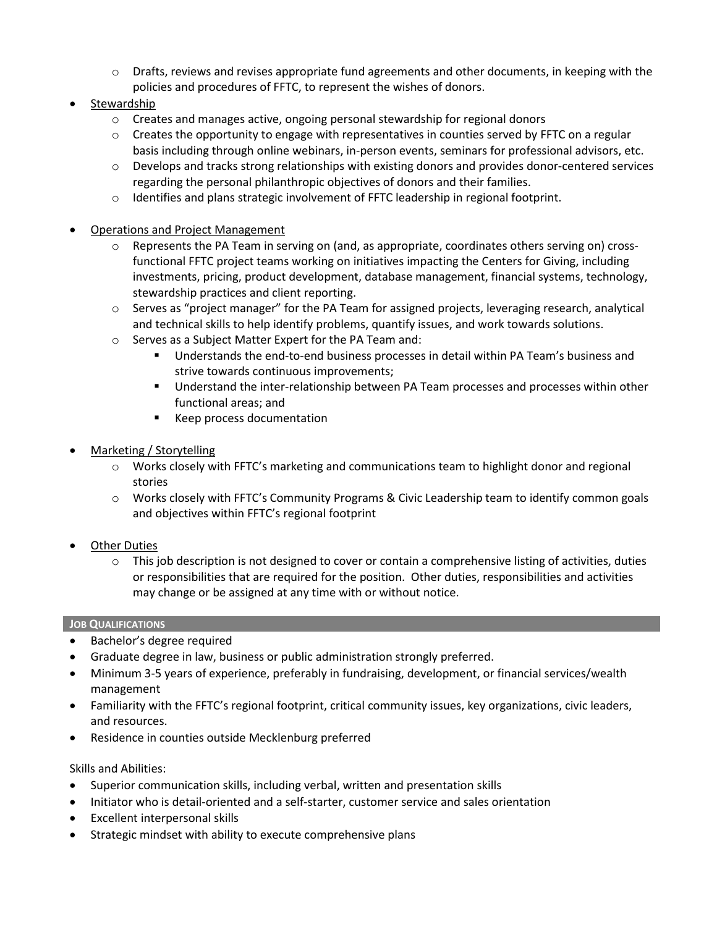- $\circ$  Drafts, reviews and revises appropriate fund agreements and other documents, in keeping with the policies and procedures of FFTC, to represent the wishes of donors.
- Stewardship
	- $\circ$  Creates and manages active, ongoing personal stewardship for regional donors
	- $\circ$  Creates the opportunity to engage with representatives in counties served by FFTC on a regular basis including through online webinars, in-person events, seminars for professional advisors, etc.
	- $\circ$  Develops and tracks strong relationships with existing donors and provides donor-centered services regarding the personal philanthropic objectives of donors and their families.
	- $\circ$  Identifies and plans strategic involvement of FFTC leadership in regional footprint.
- Operations and Project Management
	- $\circ$  Represents the PA Team in serving on (and, as appropriate, coordinates others serving on) crossfunctional FFTC project teams working on initiatives impacting the Centers for Giving, including investments, pricing, product development, database management, financial systems, technology, stewardship practices and client reporting.
	- o Serves as "project manager" for the PA Team for assigned projects, leveraging research, analytical and technical skills to help identify problems, quantify issues, and work towards solutions.
	- o Serves as a Subject Matter Expert for the PA Team and:
		- Understands the end-to-end business processes in detail within PA Team's business and strive towards continuous improvements;
		- Understand the inter-relationship between PA Team processes and processes within other functional areas; and
		- **Keep process documentation**
- Marketing / Storytelling
	- o Works closely with FFTC's marketing and communications team to highlight donor and regional stories
	- o Works closely with FFTC's Community Programs & Civic Leadership team to identify common goals and objectives within FFTC's regional footprint
- **Other Duties** 
	- $\circ$  This job description is not designed to cover or contain a comprehensive listing of activities, duties or responsibilities that are required for the position. Other duties, responsibilities and activities may change or be assigned at any time with or without notice.

## **JOB QUALIFICATIONS**

- Bachelor's degree required
- Graduate degree in law, business or public administration strongly preferred.
- Minimum 3-5 years of experience, preferably in fundraising, development, or financial services/wealth management
- Familiarity with the FFTC's regional footprint, critical community issues, key organizations, civic leaders, and resources.
- Residence in counties outside Mecklenburg preferred

## Skills and Abilities:

- Superior communication skills, including verbal, written and presentation skills
- Initiator who is detail-oriented and a self-starter, customer service and sales orientation
- Excellent interpersonal skills
- Strategic mindset with ability to execute comprehensive plans